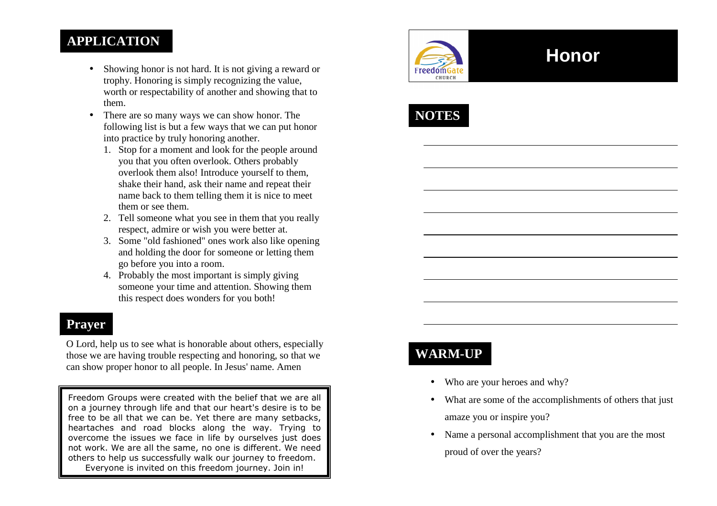#### **APPLICATION**

- Showing honor is not hard. It is not giving a reward or trophy. Honoring is simply recognizing the value, worth or respectability of another and showing that to them.
- • There are so many ways we can show honor. The following list is but a few ways that we can put honor into practice by truly honoring another.
	- 1. Stop for a moment and look for the people around you that you often overlook. Others probably overlook them also! Introduce yourself to them, shake their hand, ask their name and repeat their name back to them telling them it is nice to meet them or see them.
	- 2. Tell someone what you see in them that you really respect, admire or wish you were better at.
	- 3. Some "old fashioned" ones work also like opening and holding the door for someone or letting them go before you into a room.
	- 4. Probably the most important is simply giving someone your time and attention. Showing them this respect does wonders for you both!

#### **Prayer**

O Lord, help us to see what is honorable about others, especially those we are having trouble respecting and honoring, so that we can show proper honor to all people. In Jesus' name. Amen

Freedom Groups were created with the belief that we are all on a journey through life and that our heart's desire is to be free to be all that we can be. Yet there are many setbacks, heartaches and road blocks along the way. Trying to overcome the issues we face in life by ourselves just does not work. We are all the same, no one is different. We need others to help us successfully walk our journey to freedom. Everyone is invited on this freedom journey. Join in!



# **Honor**



## **WARM-UP**

- Who are your heroes and why?
- What are some of the accomplishments of others that just amaze you or inspire you?
- Name a personal accomplishment that you are the most proud of over the years?